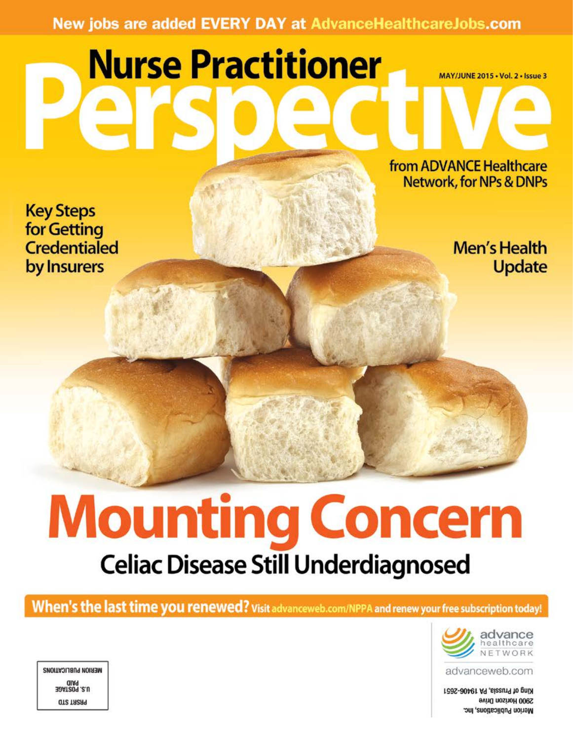# New jobs are added EVERY DAY at AdvanceHealthcareJobs.com

# **Nurse Practitioner**

from ADVANCE Healthcare **Network, for NPs & DNPs** 

MAY/JUNE 2015 . Vol. 2 . Issue 3

**Key Steps** for Getting **Credentialed** by Insurers

Men's Health **Update** 

# **Mounting Concern Celiac Disease Still Underdiagnosed**

When's the last time you renewed? Visit advanceweb.com/NPPA and renew your free subscription today!



advanceweb.com

King of Prussia, PA 19406-2651 2900 Horizon Drive Merion Publications, Inc.

MERION PUBLICATIONS **HATISOR .2.U QT2 TA2A9**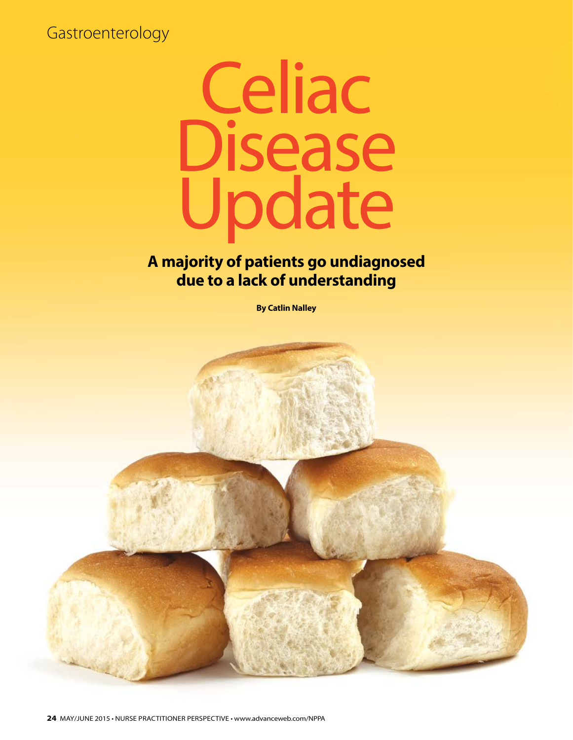Gastroenterology



# **A majority of patients go undiagnosed due to a lack of understanding**

**By Catlin Nalley**

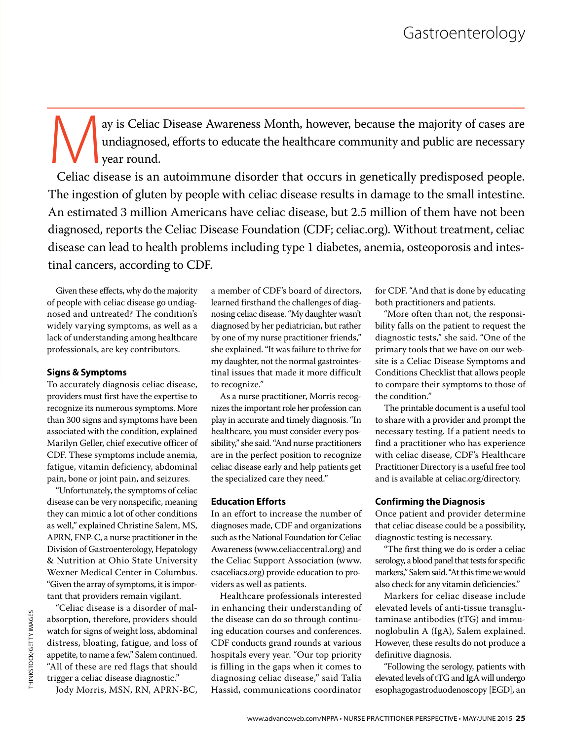ay is Celiac Disease Awareness Month, however, because the majority of cases are undiagnosed, efforts to educate the healthcare community and public are necessary year round. undiagnosed, efforts to educate the healthcare community and public are necessary vear round.

Celiac disease is an autoimmune disorder that occurs in genetically predisposed people. The ingestion of gluten by people with celiac disease results in damage to the small intestine. An estimated 3 million Americans have celiac disease, but 2.5 million of them have not been diagnosed, reports the Celiac Disease Foundation (CDF; celiac.org). Without treatment, celiac disease can lead to health problems including type 1 diabetes, anemia, osteoporosis and intestinal cancers, according to CDF.

Given these effects, why do the majority of people with celiac disease go undiagnosed and untreated? The condition's widely varying symptoms, as well as a lack of understanding among healthcare professionals, are key contributors.

### **Signs & Symptoms**

To accurately diagnosis celiac disease, providers must first have the expertise to recognize its numerous symptoms. More than 300 signs and symptoms have been associated with the condition, explained Marilyn Geller, chief executive officer of CDF. These symptoms include anemia, fatigue, vitamin deficiency, abdominal pain, bone or joint pain, and seizures.

"Unfortunately, the symptoms of celiac disease can be very nonspecific, meaning they can mimic a lot of other conditions as well," explained Christine Salem, MS, APRN, FNP-C, a nurse practitioner in the Division of Gastroenterology, Hepatology & Nutrition at Ohio State University Wexner Medical Center in Columbus. "Given the array of symptoms, it is important that providers remain vigilant.

"Celiac disease is a disorder of malabsorption, therefore, providers should watch for signs of weight loss, abdominal distress, bloating, fatigue, and loss of appetite, to name a few," Salem continued. "All of these are red flags that should trigger a celiac disease diagnostic."

Jody Morris, MSN, RN, APRN-BC,

a member of CDF's board of directors, learned firsthand the challenges of diagnosing celiac disease. "My daughter wasn't diagnosed by her pediatrician, but rather by one of my nurse practitioner friends," she explained. "It was failure to thrive for my daughter, not the normal gastrointestinal issues that made it more difficult to recognize."

As a nurse practitioner, Morris recognizes the important role her profession can play in accurate and timely diagnosis. "In healthcare, you must consider every possibility," she said. "And nurse practitioners are in the perfect position to recognize celiac disease early and help patients get the specialized care they need."

## **Education Efforts**

In an effort to increase the number of diagnoses made, CDF and organizations such as the National Foundation for Celiac Awareness (www.celiaccentral.org) and the Celiac Support Association (www. csaceliacs.org) provide education to providers as well as patients.

Healthcare professionals interested in enhancing their understanding of the disease can do so through continuing education courses and conferences. CDF conducts grand rounds at various hospitals every year. "Our top priority is filling in the gaps when it comes to diagnosing celiac disease," said Talia Hassid, communications coordinator for CDF. "And that is done by educating both practitioners and patients.

"More often than not, the responsibility falls on the patient to request the diagnostic tests," she said. "One of the primary tools that we have on our website is a Celiac Disease Symptoms and Conditions Checklist that allows people to compare their symptoms to those of the condition."

The printable document is a useful tool to share with a provider and prompt the necessary testing. If a patient needs to find a practitioner who has experience with celiac disease, CDF's Healthcare Practitioner Directory is a useful free tool and is available at celiac.org/directory.

# **Confirming the Diagnosis**

Once patient and provider determine that celiac disease could be a possibility, diagnostic testing is necessary.

"The first thing we do is order a celiac serology, a blood panel that tests for specific markers," Salem said. "At this time we would also check for any vitamin deficiencies."

Markers for celiac disease include elevated levels of anti-tissue transglutaminase antibodies (tTG) and immunoglobulin A (IgA), Salem explained. However, these results do not produce a definitive diagnosis.

"Following the serology, patients with elevated levels of tTG and IgA will undergo esophagogastroduodenoscopy [EGD], an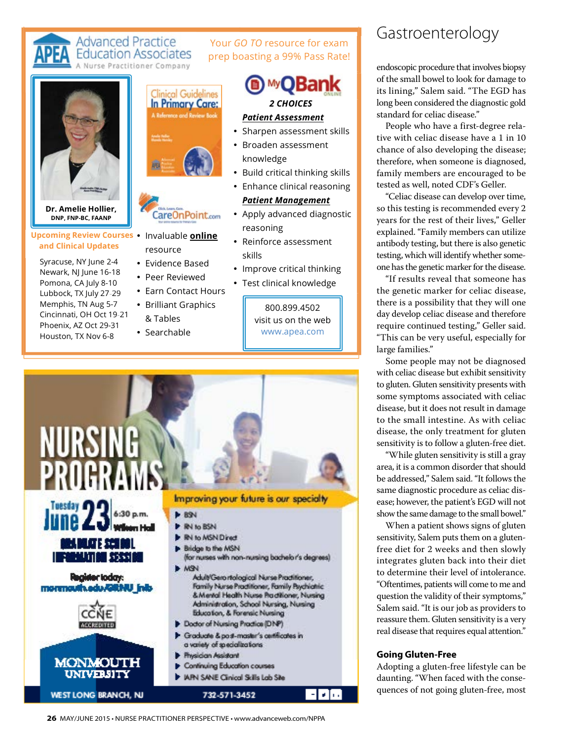#### **Advanced Practice** Your *GO TO* resource for exam **Education Associates** [prep boasting a 99% Pass Rate!](app.launchURL("http://nurse-practitioners-and-physician-assistants.advanceweb.com/LogEvent.aspx?LET=EBOOK_ADCLICK&SRC=EBOOK&DST=OE_IN&SRCID=NPPA051815&DSTID=NPPA-1521027", true);)  se Practitioner Company **MyOBank** inical Guidelines **In Primary Care:**  *2 CHOICES* *Patient Assessment*

- Sharpen assessment skills
- Broaden assessment knowledge
- Build critical thinking skills
- Enhance clinical reasoning *Patient Management*
- Apply advanced diagnostic reasoning
- Reinforce assessment skills
- Improve critical thinking
- Test clinical knowledge

800.899.4502 visit us on the web www.apea.com



# Gastroenterology

endoscopic procedure that involves biopsy of the small bowel to look for damage to its lining," Salem said. "The EGD has long been considered the diagnostic gold standard for celiac disease."

People who have a first-degree relative with celiac disease have a 1 in 10 chance of also developing the disease; therefore, when someone is diagnosed, family members are encouraged to be tested as well, noted CDF's Geller.

"Celiac disease can develop over time, so this testing is recommended every 2 years for the rest of their lives," Geller explained. "Family members can utilize antibody testing, but there is also genetic testing, which will identify whether someone has the genetic marker for the disease.

"If results reveal that someone has the genetic marker for celiac disease, there is a possibility that they will one day develop celiac disease and therefore require continued testing," Geller said. "This can be very useful, especially for large families."

Some people may not be diagnosed with celiac disease but exhibit sensitivity to gluten. Gluten sensitivity presents with some symptoms associated with celiac disease, but it does not result in damage to the small intestine. As with celiac disease, the only treatment for gluten sensitivity is to follow a gluten-free diet.

"While gluten sensitivity is still a gray area, it is a common disorder that should be addressed," Salem said. "It follows the same diagnostic procedure as celiac disease; however, the patient's EGD will not show the same damage to the small bowel."

When a patient shows signs of gluten sensitivity, Salem puts them on a glutenfree diet for 2 weeks and then slowly integrates gluten back into their diet to determine their level of intolerance. "Oftentimes, patients will come to me and question the validity of their symptoms," Salem said. "It is our job as providers to reassure them. Gluten sensitivity is a very real disease that requires equal attention."

### **Going Gluten-Free**

Adopting a gluten-free lifestyle can be daunting. "When faced with the consequences of not going gluten-free, most

- **Upcoming Review Courses •** Invaluable **online and Clinical Updates atesDNP, FNP-BC, FAANP**
- Memphis, TN Aug 5-7 g 5-7 Syracuse, NY June 2-4<br>Newark, NJ June 16-18<br>Pomona, CA July 8-10<br>Lubbock, TX July 27-29<br>Momphis, TN Aug 5-7 Newark, NJ June 16-18 6-18 Pomona, CA July 8-10 8-10 Lubbock, TX July 27-29 Cincinnati, OH Oct 19-21 Phoenix, AZ Oct 29-31 29-31 Houston, TX Nov 6-8 6-8 Syracuse, NY June 2-4

**Dr. Amelie Hollier,** 



resource

CareOnPoint.com

- Evidence Based
- Peer Reviewed
- resource<br>• Evidence Based<br>• Peer Reviewed<br>• Earn Contact Hours
- Brilliant Graphics & Tables
- Searchable